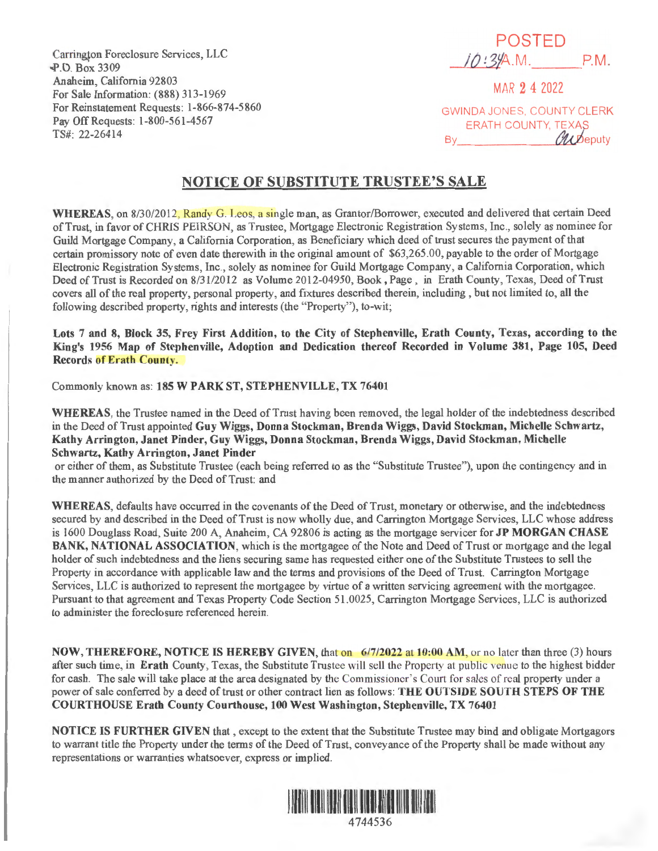Carrington Foreclosure Services, LLC ' .P.O. Box 3309 Anaheim, California 92803 For Sale Information: (888) 313-1969 For Reinstatement Requests: 1-866-874-5 860 Pay Off Requests: 1-800-561-4567 TS#: 22-26414

POSTED /(J *!* 3YA.M. P.M.

MAR 2 4 2022

GWINDA JONES, COUNTY CLERK ERATH COUNTY, TEXAS By  $\theta$ ubeputy

## **NOTICE OF SUBSTITUTE TRUSTEE'S SALE**

WHEREAS, on 8/30/2012, Randy G. Leos, a single man, as Grantor/Borrower, executed and delivered that certain Deed of Trust, in favor of CHRIS PEIRSON, as Trustee, Mortgage Electronic Registration Systems, Inc., solely as nominee for Guild Mortgage Company, a California Corporation, as Beneficiary which deed of trust secures the payment of that certain promissory note of even date therewith in the original amount of \$63,265 .00, payable to the order of Mortgage Electronic Registration Systems, Inc., solely as nominee for Guild Mortgage Company, a California Corporation, which Deed of Trust is Recorded on 8/31/2012 as Volume 2012-04950, Book, Page , in Erath County, Texas, Deed of Trust covers all of the real property, personal property, and fixtures described therein, including , but not limited to, all the following described property, rights and interests (the "Property"), to-wit;

**Lots 7 and 8, Block 35, Frey First Addition, to the City of Stephenville, Erath County, Texas, according to the King's 1956 Map of Stephenville, Adoption and Dedication thereof Recorded in Volume 381, Page 105, Deed Records of Erath County.** 

Commonly known as: **185 W PARK ST, STEPHENVILLE, TX 76401** 

**WHEREAS,** the Trustee named in the Deed of Trust having been removed, the legal holder of the indebtedness described in the Deed of Trust appointed **Guy Wiggs, Donna Stockman, Brenda Wiggs, David Stockman, Michelle Schwartz, Kathy Arrington, Janet Pinder, Guy Wiggs, Donna Stockman, Brenda Wiggs, David Stockman, Michelle Schwartz, Kathy Arrington, Janet Pinder** 

or either of them, as Substitute Trustee (each being referred to as the "Substitute Trustee"), upon the contingency and in the manner authorized by the Deed of Trust: and

**WHEREAS,** defaults have occurred in the covenants of the Deed of Trust, monetary or otherwise, and the indebtedness secured by and described in the Deed of Trust is now wholly due, and Carrington Mortgage Services, LLC whose address is 1600 Douglass Road, *Suite* 200 A, Anaheim, CA 92806 is acting as the mortgage servicer for **JP MORGAN CHASE BANK, NATIONAL ASSOCIATION,** which is the mortgagee of the Note and Deed of Trust or mortgage and the legal holder of such indebtedness and the liens securing same has requested either one of the Substitute Trustees to sell the Property in accordance with applicable law and the terms and provisions of the Deed of Trust. Carrington Mortgage Services, LLC is authorized to represent the mortgagee by virtue of a written servicing agreement with the mortgagee. Pursuant to that agreement and Texas Property Code Section 51.0025, Carrington Mortgage Services, LLC is authorized to administer the foreclosure referenced herein.

**NOW, THEREFORE, NOTICE IS HEREBY GIVEN, that on 6/7/2022 at 10:00 AM, or no later than three (3) hours** after such time, in **Erath** County, Texas, the Substitute Trustee will sell the Property at public venue to the highest bidder for cash. The sale will take place at the area designated by the Commissioner's Court for sales of real property under a power of sale conferred by a deed of trust or other contract lien as follows: **THE OUTSIDE SOUTH STEPS OF THE COURTHOUSE Erath County Courthouse, 100 West Washington, Stephenville, TX 76401** 

**NOTICE IS FURTHER GIVEN** that , except to the extent that the Substitute Trustee may bind and obligate Mortgagors to warrant title the Property under the terms of the Deed of Trust, conveyance of the Property shall be made without any representations or warranties whatsoever, express or implied.